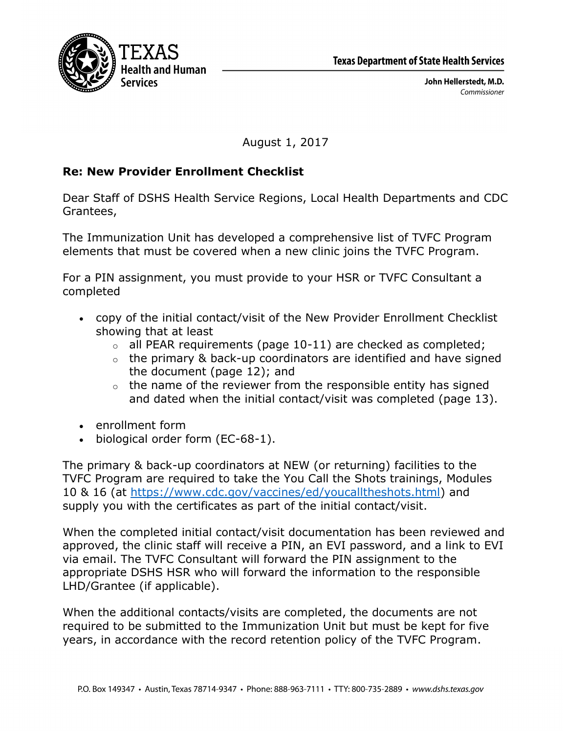

John Hellerstedt, M.D. Commissioner

August 1, 2017

## **Re: New Provider Enrollment Checklist**

Dear Staff of DSHS Health Service Regions, Local Health Departments and CDC Grantees,

The Immunization Unit has developed a comprehensive list of TVFC Program elements that must be covered when a new clinic joins the TVFC Program.

For a PIN assignment, you must provide to your HSR or TVFC Consultant a completed

- copy of the initial contact/visit of the New Provider Enrollment Checklist showing that at least
	- $\circ$  all PEAR requirements (page 10-11) are checked as completed;
	- $\circ$  the primary & back-up coordinators are identified and have signed the document (page 12); and
	- $\circ$  the name of the reviewer from the responsible entity has signed and dated when the initial contact/visit was completed (page 13).
- enrollment form
- biological order form (EC-68-1).

The primary & back-up coordinators at NEW (or returning) facilities to the TVFC Program are required to take the You Call the Shots trainings, Modules 10 & 16 (at https://www.cdc.gov/vaccines/ed/youcalltheshots.html) and supply you with the certificates as part of the initial contact/visit.

When the completed initial contact/visit documentation has been reviewed and approved, the clinic staff will receive a PIN, an EVI password, and a link to EVI via email. The TVFC Consultant will forward the PIN assignment to the appropriate DSHS HSR who will forward the information to the responsible LHD/Grantee (if applicable).

When the additional contacts/visits are completed, the documents are not required to be submitted to the Immunization Unit but must be kept for five years, in accordance with the record retention policy of the TVFC Program.